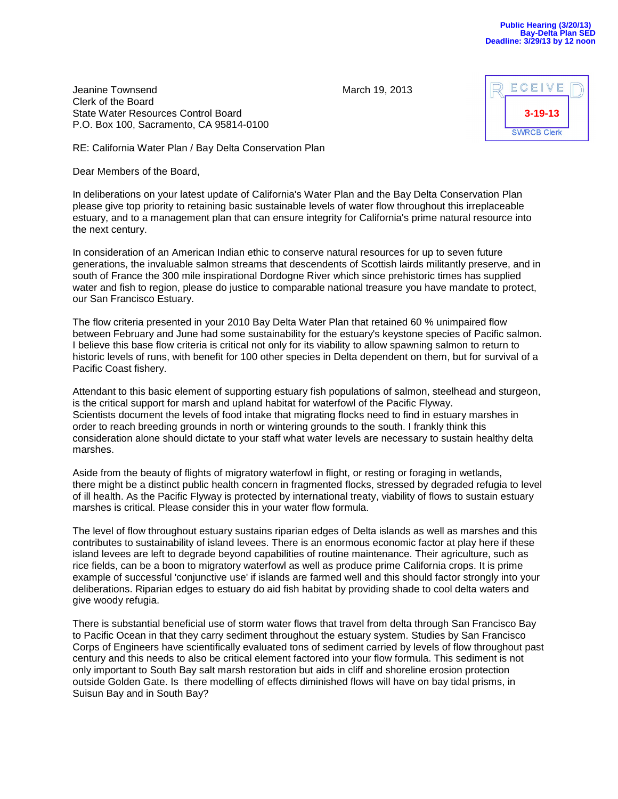| ECEIVE             |  |
|--------------------|--|
| $3 - 19 - 13$      |  |
| <b>SWRCB Clerk</b> |  |

**Jeanine Townsend March 19, 2013** Clerk of the Board State Water Resources Control Board P.O. Box 100, Sacramento, CA 95814-0100

RE: California Water Plan / Bay Delta Conservation Plan

Dear Members of the Board,

In deliberations on your latest update of California's Water Plan and the Bay Delta Conservation Plan please give top priority to retaining basic sustainable levels of water flow throughout this irreplaceable estuary, and to a management plan that can ensure integrity for California's prime natural resource into the next century.

In consideration of an American Indian ethic to conserve natural resources for up to seven future generations, the invaluable salmon streams that descendents of Scottish lairds militantly preserve, and in south of France the 300 mile inspirational Dordogne River which since prehistoric times has supplied water and fish to region, please do justice to comparable national treasure you have mandate to protect, our San Francisco Estuary.

The flow criteria presented in your 2010 Bay Delta Water Plan that retained 60 % unimpaired flow between February and June had some sustainability for the estuary's keystone species of Pacific salmon. I believe this base flow criteria is critical not only for its viability to allow spawning salmon to return to historic levels of runs, with benefit for 100 other species in Delta dependent on them, but for survival of a Pacific Coast fishery.

Attendant to this basic element of supporting estuary fish populations of salmon, steelhead and sturgeon, is the critical support for marsh and upland habitat for waterfowl of the Pacific Flyway. Scientists document the levels of food intake that migrating flocks need to find in estuary marshes in order to reach breeding grounds in north or wintering grounds to the south. I frankly think this consideration alone should dictate to your staff what water levels are necessary to sustain healthy delta marshes.

Aside from the beauty of flights of migratory waterfowl in flight, or resting or foraging in wetlands, there might be a distinct public health concern in fragmented flocks, stressed by degraded refugia to level of ill health. As the Pacific Flyway is protected by international treaty, viability of flows to sustain estuary marshes is critical. Please consider this in your water flow formula.

The level of flow throughout estuary sustains riparian edges of Delta islands as well as marshes and this contributes to sustainability of island levees. There is an enormous economic factor at play here if these island levees are left to degrade beyond capabilities of routine maintenance. Their agriculture, such as rice fields, can be a boon to migratory waterfowl as well as produce prime California crops. It is prime example of successful 'conjunctive use' if islands are farmed well and this should factor strongly into your deliberations. Riparian edges to estuary do aid fish habitat by providing shade to cool delta waters and give woody refugia.

There is substantial beneficial use of storm water flows that travel from delta through San Francisco Bay to Pacific Ocean in that they carry sediment throughout the estuary system. Studies by San Francisco Corps of Engineers have scientifically evaluated tons of sediment carried by levels of flow throughout past century and this needs to also be critical element factored into your flow formula. This sediment is not only important to South Bay salt marsh restoration but aids in cliff and shoreline erosion protection outside Golden Gate. Is there modelling of effects diminished flows will have on bay tidal prisms, in Suisun Bay and in South Bay?